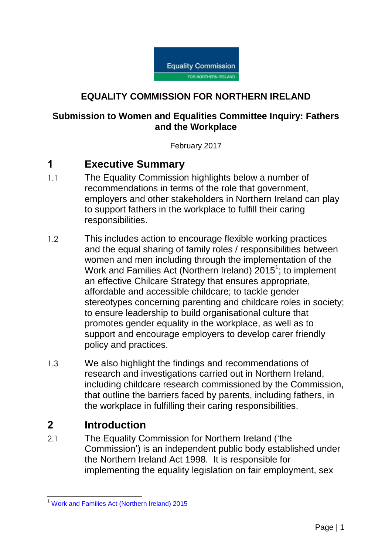

### **EQUALITY COMMISSION FOR NORTHERN IRELAND**

#### **Submission to Women and Equalities Committee Inquiry: Fathers and the Workplace**

February 2017

## **1 Executive Summary**

- 1.1 The Equality Commission highlights below a number of recommendations in terms of the role that government, employers and other stakeholders in Northern Ireland can play to support fathers in the workplace to fulfill their caring responsibilities.
- 1.2 This includes action to encourage flexible working practices and the equal sharing of family roles / responsibilities between women and men including through the implementation of the Work and Families Act (Northern Ireland)  $2015^1$ ; to implement an effective Chilcare Strategy that ensures appropriate, affordable and accessible childcare; to tackle gender stereotypes concerning parenting and childcare roles in society; to ensure leadership to build organisational culture that promotes gender equality in the workplace, as well as to support and encourage employers to develop carer friendly policy and practices.
- 1.3 We also highlight the findings and recommendations of research and investigations carried out in Northern Ireland, including childcare research commissioned by the Commission, that outline the barriers faced by parents, including fathers, in the workplace in fulfilling their caring responsibilities.

## **2 Introduction**

2.1 The Equality Commission for Northern Ireland ('the Commission') is an independent public body established under the Northern Ireland Act 1998. It is responsible for implementing the equality legislation on fair employment, sex

<sup>1</sup> <sup>1</sup> [Work and Families Act \(Northern Ireland\) 2015](http://www.legislation.gov.uk/nia/2015/1)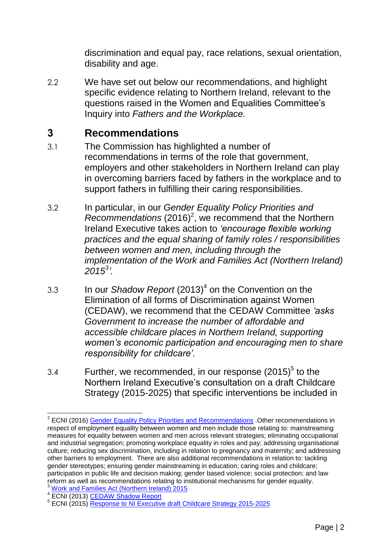discrimination and equal pay, race relations, sexual orientation, disability and age.

2.2 We have set out below our recommendations, and highlight specific evidence relating to Northern Ireland, relevant to the questions raised in the Women and Equalities Committee's Inquiry into *Fathers and the Workplace.*

# **3 Recommendations**

- 3.1 The Commission has highlighted a number of recommendations in terms of the role that government, employers and other stakeholders in Northern Ireland can play in overcoming barriers faced by fathers in the workplace and to support fathers in fulfilling their caring responsibilities.
- 3.2 In particular, in our *Gender Equality Policy Priorities and*  Recommendations (2016)<sup>2</sup>, we recommend that the Northern Ireland Executive takes action to *'encourage flexible working practices and the equal sharing of family roles / responsibilities between women and men, including through the implementation of the Work and Families Act (Northern Ireland) 2015<sup>3</sup> '.*
- 3.3 In our *Shadow Report* (2013)<sup>4</sup> on the Convention on the Elimination of all forms of Discrimination against Women (CEDAW), we recommend that the CEDAW Committee *'asks Government to increase the number of affordable and accessible childcare places in Northern Ireland, supporting women's economic participation and encouraging men to share responsibility for childcare'.*
- 3.4 Further, we recommended, in our response  $(2015)^5$  to the Northern Ireland Executive's consultation on a draft Childcare Strategy (2015-2025) that specific interventions be included in

 2 ECNI (2016) Gender Equality Policy [Priorities and Recommendations](http://www.equalityni.org/ECNI/media/ECNI/Publications/Delivering%20Equality/GenderPolicyPriorities-Full.pdf) .Other recommendations in respect of employment equality between women and men include those relating to: mainstreaming measures for equality between women and men across relevant strategies; eliminating occupational and industrial segregation; promoting workplace equality in roles and pay; addressing organisational culture; reducing sex discrimination, including in relation to pregnancy and maternity; and addressing other barriers to employment. There are also additional recommendations in relation to: tackling gender stereotypes; ensuring gender mainstreaming in education; caring roles and childcare; participation in public life and decision making; gender based violence; social protection; and law reform as well as recommendations relating to institutional mechanisms for gender equality. <sup>3</sup> [Work and Families Act \(Northern Ireland\) 2015](http://www.legislation.gov.uk/nia/2015/1)

<sup>&</sup>lt;sup>4</sup> ECNI (2013) [CEDAW Shadow Report](https://www.google.com/url?q=http://www.equalityni.org/Publications/Delivering-Equality/CEDAW-Report-UN-Convention-on-the-Elimination-of-a%3FID%3D4910&sa=U&ved=0ahUKEwipp9Hy2aHSAhXEtRoKHRI-Aa4QFggEMAA&client=internal-uds-cse&usg=AFQjCNGjtbHpu2-nOvaDln2eppS)

<sup>&</sup>lt;sup>5</sup> ECNI (2015) [Response to NI Executive draft Childcare Strategy 2015-2025](http://www.equalityni.org/ECNI/media/ECNI/Consultation%20Responses/2015/NIExec-draft_ChildcareStrategy2015-25.pdf)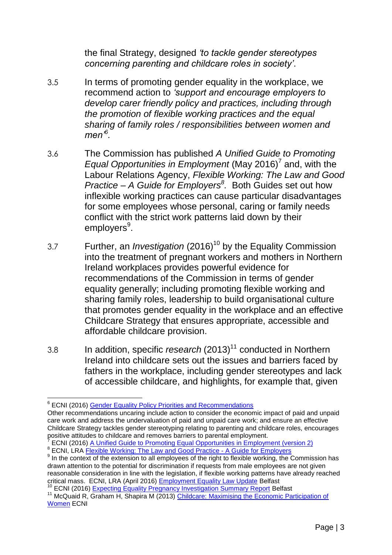the final Strategy, designed *'to tackle gender stereotypes concerning parenting and childcare roles in society'*.

- 3.5 In terms of promoting gender equality in the workplace, we recommend action to *'support and encourage employers to develop carer friendly policy and practices, including through the promotion of flexible working practices and the equal sharing of family roles / responsibilities between women and men'<sup>6</sup> .*
- 3.6 The Commission has published *A Unified Guide to Promoting*  Equal Opportunities in Employment (May 2016)<sup>7</sup> and, with the Labour Relations Agency, *Flexible Working: The Law and Good Practice – A Guide for Employers<sup>8</sup> .* Both Guides set out how inflexible working practices can cause particular disadvantages for some employees whose personal, caring or family needs conflict with the strict work patterns laid down by their employers<sup>9</sup>.
- 3.7 Further, an *Investigation* (2016)<sup>10</sup> by the Equality Commission into the treatment of pregnant workers and mothers in Northern Ireland workplaces provides powerful evidence for recommendations of the Commission in terms of gender equality generally; including promoting flexible working and sharing family roles, leadership to build organisational culture that promotes gender equality in the workplace and an effective Childcare Strategy that ensures appropriate, accessible and affordable childcare provision.
- 3.8 In addition, specific *research* (2013)<sup>11</sup> conducted in Northern Ireland into childcare sets out the issues and barriers faced by fathers in the workplace, including gender stereotypes and lack of accessible childcare, and highlights, for example that, given

<sup>10</sup> ECNI (2016) [Expecting Equality Pregnancy Investigation Summary Report](https://www.google.com/url?q=http://www.equalityni.org/ECNI/media/ECNI/Publications/Delivering%2520Equality/Expecting_Equality-PregnancyInvestigation-SummaryReport.pdf&sa=U&ved=0ahUKEwjewP6r557SAhXKPBQKHXTcDUQQFggEMAA&client=internal-uds-cse&usg=AFQjCNGEi2) Belfast

<sup>1</sup> <sup>6</sup> ECNI (2016) **Gender Equality Policy Priorities and Recommendations** 

Other recommendations uncaring include action to consider the economic impact of paid and unpaid care work and address the undervaluation of paid and unpaid care work; and ensure an effective Childcare Strategy tackles gender stereotyping relating to parenting and childcare roles, encourages positive attitudes to childcare and removes barriers to parental employment.

<sup>7</sup> ECNI (2016) [A Unified Guide to Promoting Equal Opportunities in Employment \(version 2\)](http://www.equalityni.org/ECNI/media/ECNI/Publications/Employers%20and%20Service%20Providers/Unifiedguidetopromotingequalopps2009.pdf) <sup>8</sup> ECNI, LRA **Flexible Working: The Law and Good Practice - A Guide for Employers** 

<sup>&</sup>lt;sup>9</sup> In the context of the extension to all employees of the right to flexible working, the Commission has drawn attention to the potential for discrimination if requests from male employees are not given reasonable consideration in line with the legislation, if flexible working patterns have already reached critical mass. ECNI, LRA (April 2016) [Employment Equality Law Update](https://www.google.co.uk/url?sa=t&rct=j&q=&esrc=s&source=web&cd=1&ved=0ahUKEwjh86iUv57SAhWHXBQKHVsiB0QQFggaMAA&url=https%3A%2F%2Fwww.lra.org.uk%2Fimages%2Fpublications%2FEqualityLawUpdateApril16.pdf&usg=AFQjCNEmEfaB9lMhqhXfFn8f7MZwYdvU8Q&bvm=bv.147448319,d) Belfast

<sup>&</sup>lt;sup>11</sup> McQuaid R, Graham H, Shapira M (2013) Childcare: Maximising the Economic Participation of [Women](https://www.google.com/url?q=http://www.equalityni.org/ECNI/media/ECNI/Publications/Delivering%2520Equality/MaximisingChildcareMainReport2013.pdf&sa=U&ved=0ahUKEwjEj-6Fy5fSAhVKOhQKHSlCCcIQFggEMAA&client=internal-uds-cse&usg=AFQjCNGL6z1Rw-uUioWnu0cX1DyXFRlL) ECNI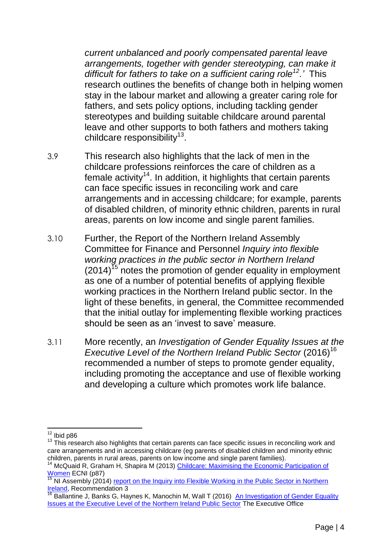*current unbalanced and poorly compensated parental leave arrangements, together with gender stereotyping, can make it difficult for fathers to take on a sufficient caring role<sup>12</sup>.'* This research outlines the benefits of change both in helping women stay in the labour market and allowing a greater caring role for fathers, and sets policy options, including tackling gender stereotypes and building suitable childcare around parental leave and other supports to both fathers and mothers taking childcare responsibility<sup>13</sup>.

- 3.9 This research also highlights that the lack of men in the childcare professions reinforces the care of children as a female activity<sup>14</sup>. In addition, it highlights that certain parents can face specific issues in reconciling work and care arrangements and in accessing childcare; for example, parents of disabled children, of minority ethnic children, parents in rural areas, parents on low income and single parent families.
- 3.10 Further, the Report of the Northern Ireland Assembly Committee for Finance and Personnel *Inquiry into flexible working practices in the public sector in Northern Ireland*  $(2014)$ <sup>15</sup> notes the promotion of gender equality in employment as one of a number of potential benefits of applying flexible working practices in the Northern Ireland public sector. In the light of these benefits, in general, the Committee recommended that the initial outlay for implementing flexible working practices should be seen as an 'invest to save' measure.
- 3.11 More recently, an *Investigation of Gender Equality Issues at the Executive Level of the Northern Ireland Public Sector* (2016)<sup>16</sup> recommended a number of steps to promote gender equality, including promoting the acceptance and use of flexible working and developing a culture which promotes work life balance.

 $\overline{a}$  $12$  Ibid p86

<sup>&</sup>lt;sup>13</sup> This research also highlights that certain parents can face specific issues in reconciling work and care arrangements and in accessing childcare (eg parents of disabled children and minority ethnic children, parents in rural areas, parents on low income and single parent families).

<sup>&</sup>lt;sup>14</sup> McQuaid R, Graham H, Shapira M (2013) Childcare: Maximising the Economic Participation of [Women](https://www.google.com/url?q=http://www.equalityni.org/ECNI/media/ECNI/Publications/Delivering%2520Equality/MaximisingChildcareMainReport2013.pdf&sa=U&ved=0ahUKEwjEj-6Fy5fSAhVKOhQKHSlCCcIQFggEMAA&client=internal-uds-cse&usg=AFQjCNGL6z1Rw-uUioWnu0cX1DyXFRlL) ECNI (p87)

NI Assembly (2014) [report on the Inquiry into Flexible Working](http://www.google.co.uk/url?sa=t&rct=j&q=&esrc=s&source=web&cd=1&cad=rja&uact=8&ved=0ahUKEwiDjMmj6p7SAhUHOhQKHageB0oQFggaMAA&url=http%3A%2F%2Fwww.niassembly.gov.uk%2Fglobalassets%2Fdocuments%2Freports%2Ffinance%2Fflex-working_volume1.pdf&usg=AFQjCNGDkE7jH5) in the Public Sector in Northern [Ireland,](http://www.google.co.uk/url?sa=t&rct=j&q=&esrc=s&source=web&cd=1&cad=rja&uact=8&ved=0ahUKEwiDjMmj6p7SAhUHOhQKHageB0oQFggaMAA&url=http%3A%2F%2Fwww.niassembly.gov.uk%2Fglobalassets%2Fdocuments%2Freports%2Ffinance%2Fflex-working_volume1.pdf&usg=AFQjCNGDkE7jH5) Recommendation 3

<sup>&</sup>lt;sup>16</sup> Ballantine J, Banks G, Haynes K, Manochin M, Wall T (2016) An Investigation of Gender Equality [Issues at the Executive Level of the Northern Ireland Public Sector](https://www.executiveoffice-ni.gov.uk/publications/investigation-gender-equality-issues-executive-level-northern-ireland-public-sector-0) The Executive Office